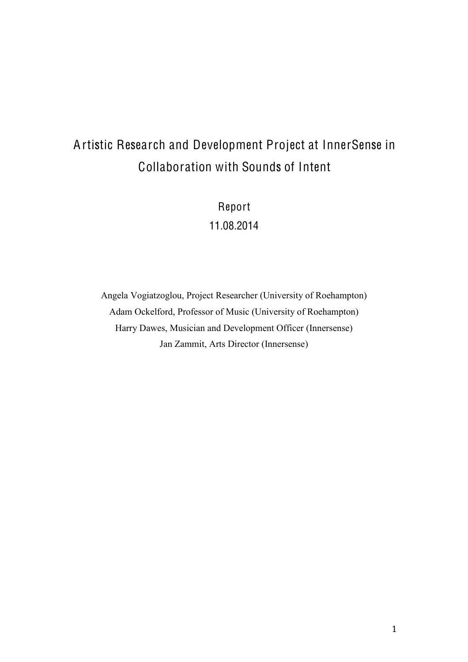# Artistic Research and Development Project at InnerSense in Collaboration with Sounds of Intent

Report 11.08.2014

Angela Vogiatzoglou, Project Researcher (University of Roehampton) Adam Ockelford, Professor of Music (University of Roehampton) Harry Dawes, Musician and Development Officer (Innersense) Jan Zammit, Arts Director (Innersense)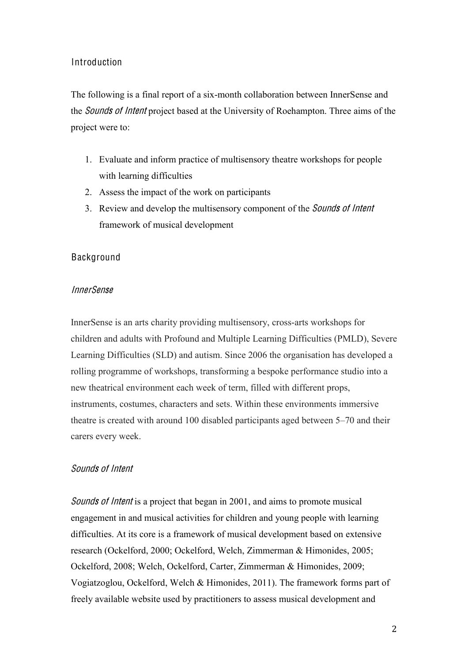#### Introduction

The following is a final report of a six-month collaboration between InnerSense and the Sound<sup>s</sup> <sup>o</sup>f Inten<sup>t</sup> project based at the University of Roehampton. Three aims of the project were to:

- 1. Evaluate and inform practice of multisensory theatre workshops for people with learning difficulties
- 2. Assess the impact of the work on participants
- 3. Review and develop the multisensory component of the Sound<sup>s</sup> <sup>o</sup>f Inten<sup>t</sup> framework of musical development

#### Background

#### InnerSense

InnerSense is an arts charity providing multisensory, cross-arts workshops for children and adults with Profound and Multiple Learning Difficulties (PMLD), Severe Learning Difficulties (SLD) and autism. Since 2006 the organisation has developed a rolling programme of workshops, transforming a bespoke performance studio into a new theatrical environment each week of term, filled with different props, instruments, costumes, characters and sets. Within these environments immersive theatre is created with around 100 disabled participants aged between 5–70 and their carers every week.

#### Sounds of Intent

Sounds of Intent is a project that began in 2001, and aims to promote musical engagement in and musical activities for children and young people with learning difficulties. At its core is a framework of musical development based on extensive research (Ockelford, 2000; Ockelford, Welch, Zimmerman & Himonides, 2005; Ockelford, 2008; Welch, Ockelford, Carter, Zimmerman & Himonides, 2009; Vogiatzoglou, Ockelford, Welch & Himonides, 2011). The framework forms part of freely available website used by practitioners to assess musical development and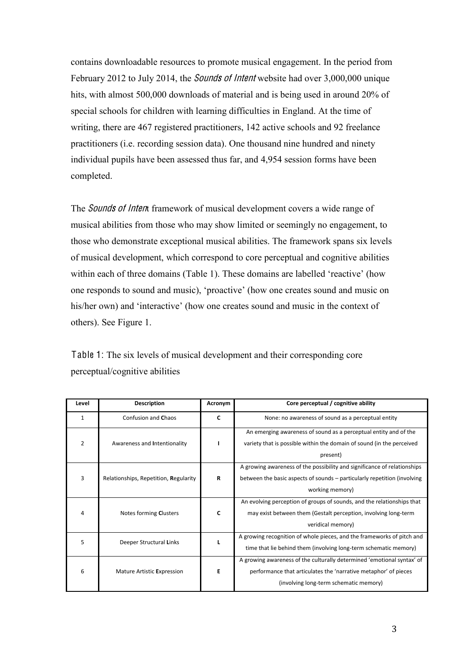contains downloadable resources to promote musical engagement. In the period from February 2012 to July 2014, the *Sounds of Intent* website had over 3,000,000 unique hits, with almost 500,000 downloads of material and is being used in around 20% of special schools for children with learning difficulties in England. At the time of writing, there are 467 registered practitioners, 142 active schools and 92 freelance practitioners (i.e. recording session data). One thousand nine hundred and ninety individual pupils have been assessed thus far, and 4,954 session forms have been completed.

The *Sounds of Intent* framework of musical development covers a wide range of musical abilities from those who may show limited or seemingly no engagement, to those who demonstrate exceptional musical abilities. The framework spans six levels of musical development, which correspond to core perceptual and cognitive abilities within each of three domains (Table 1). These domains are labelled 'reactive' (how one responds to sound and music), 'proactive' (how one creates sound and music on his/her own) and 'interactive' (how one creates sound and music in the context of others). See Figure 1.

| Level        | <b>Description</b>                    | Acronym                                                                                                                                         | Core perceptual / cognitive ability                                                                                                                                                 |  |  |
|--------------|---------------------------------------|-------------------------------------------------------------------------------------------------------------------------------------------------|-------------------------------------------------------------------------------------------------------------------------------------------------------------------------------------|--|--|
| $\mathbf{1}$ | Confusion and Chaos                   | C                                                                                                                                               | None: no awareness of sound as a perceptual entity                                                                                                                                  |  |  |
| 2            | Awareness and Intentionality          |                                                                                                                                                 | An emerging awareness of sound as a perceptual entity and of the<br>variety that is possible within the domain of sound (in the perceived<br>present)                               |  |  |
| 3            | Relationships, Repetition, Regularity | R                                                                                                                                               | A growing awareness of the possibility and significance of relationships<br>between the basic aspects of sounds – particularly repetition (involving<br>working memory)             |  |  |
| 4            | Notes forming Clusters                | C                                                                                                                                               | An evolving perception of groups of sounds, and the relationships that<br>may exist between them (Gestalt perception, involving long-term<br>veridical memory)                      |  |  |
| 5            | Deeper Structural Links               | A growing recognition of whole pieces, and the frameworks of pitch and<br>L<br>time that lie behind them (involving long-term schematic memory) |                                                                                                                                                                                     |  |  |
| 6            | Mature Artistic Expression            | E                                                                                                                                               | A growing awareness of the culturally determined 'emotional syntax' of<br>performance that articulates the 'narrative metaphor' of pieces<br>(involving long-term schematic memory) |  |  |

Table 1: The six levels of musical development and their corresponding core perceptual/cognitive abilities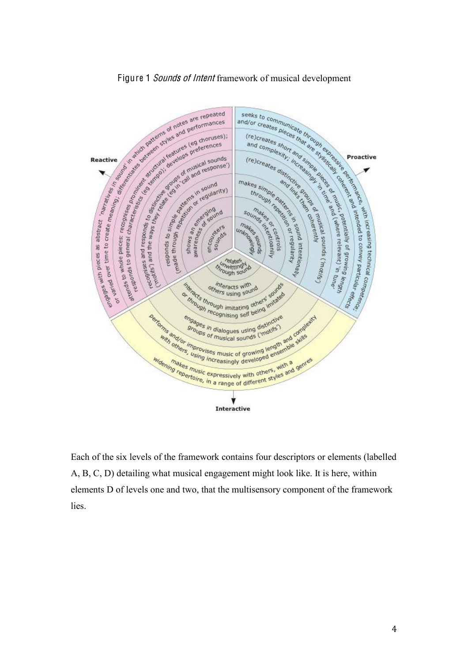

Each of the six levels of the framework contains four descriptors or elements (labelled A, B, C, D) detailing what musical engagement might look like. It is here, within elements D of levels one and two, that the multisensory component of the framework lies.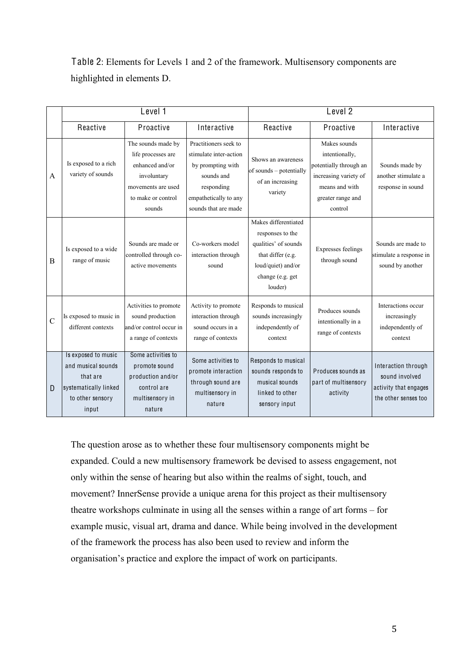Table 2: Elements for Levels 1 and 2 of the framework. Multisensory components are highlighted in elements D.

|                | Level 1                                                                                                     |                                                                                                                                  |                                                                                                                                                   | Level <sub>2</sub>                                                                                                                         |                                                                                                                                     |                                                                                        |  |
|----------------|-------------------------------------------------------------------------------------------------------------|----------------------------------------------------------------------------------------------------------------------------------|---------------------------------------------------------------------------------------------------------------------------------------------------|--------------------------------------------------------------------------------------------------------------------------------------------|-------------------------------------------------------------------------------------------------------------------------------------|----------------------------------------------------------------------------------------|--|
|                | Reactive                                                                                                    | Proactive                                                                                                                        | Interactive                                                                                                                                       | Reactive                                                                                                                                   | Proactive                                                                                                                           | Interactive                                                                            |  |
| A              | Is exposed to a rich<br>variety of sounds                                                                   | The sounds made by<br>life processes are<br>enhanced and/or<br>involuntary<br>movements are used<br>to make or control<br>sounds | Practitioners seek to<br>stimulate inter-action<br>by prompting with<br>sounds and<br>responding<br>empathetically to any<br>sounds that are made | Shows an awareness<br>of sounds - potentially<br>of an increasing<br>variety                                                               | Makes sounds<br>intentionally,<br>potentially through an<br>increasing variety of<br>means and with<br>greater range and<br>control | Sounds made by<br>another stimulate a<br>response in sound                             |  |
| B              | Is exposed to a wide<br>range of music                                                                      | Sounds are made or<br>controlled through co-<br>active movements                                                                 | Co-workers model<br>interaction through<br>sound                                                                                                  | Makes differentiated<br>responses to the<br>qualities' of sounds<br>that differ (e.g.<br>loud/quiet) and/or<br>change (e.g. get<br>louder) | <b>Expresses feelings</b><br>through sound                                                                                          | Sounds are made to<br>stimulate a response in<br>sound by another                      |  |
| $\overline{C}$ | Is exposed to music in<br>different contexts                                                                | Activities to promote<br>sound production<br>and/or control occur in<br>a range of contexts                                      | Activity to promote<br>interaction through<br>sound occurs in a<br>range of contexts                                                              | Responds to musical<br>sounds increasingly<br>independently of<br>context                                                                  | Produces sounds<br>intentionally in a<br>range of contexts                                                                          | Interactions occur<br>increasingly<br>independently of<br>context                      |  |
| D              | Is exposed to music<br>and musical sounds<br>that are<br>systematically linked<br>to other sensory<br>input | Some activities to<br>promote sound<br>production and/or<br>control are<br>multisensory in<br>nature                             | Some activities to<br>promote interaction<br>through sound are<br>multisensory in<br>nature                                                       | Responds to musical<br>sounds responds to<br>musical sounds<br>linked to other<br>sensory input                                            | Produces sounds as<br>part of multisensory<br>activity                                                                              | Interaction through<br>sound involved<br>activity that engages<br>the other senses too |  |

The question arose as to whether these four multisensory components might be expanded. Could a new multisensory framework be devised to assess engagement, not only within the sense of hearing but also within the realms of sight, touch, and movement? InnerSense provide a unique arena for this project as their multisensory theatre workshops culminate in using all the senses within a range of art forms  $-$  for example music, visual art, drama and dance. While being involved in the development of the framework the process has also been used to review and inform the organisation's practice and explore the impact of work on participants.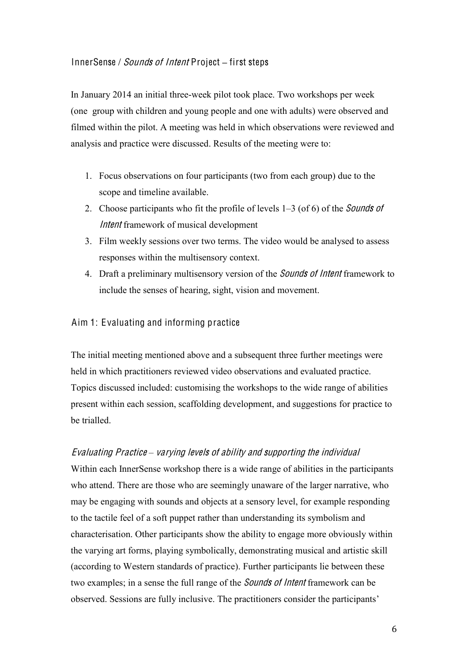#### InnerSense / *Sounds of Intent* Project – first steps

In January 2014 an initial three-week pilot took place. Two workshops per week (one group with children and young people and one with adults) were observed and filmed within the pilot. A meeting was held in which observations were reviewed and analysis and practice were discussed. Results of the meeting were to:

- 1. Focus observations on four participants (two from each group) due to the scope and timeline available.
- 2. Choose participants who fit the profile of levels  $1-3$  (of 6) of the *Sounds of* Inten<sup>t</sup> framework of musical development
- 3. Film weekly sessions over two terms. The video would be analysed to assess responses within the multisensory context.
- 4. Draft a preliminary multisensory version of the *Sounds of Intent* framework to include the senses of hearing, sight, vision and movement.

#### Aim 1: Evaluating and informing practice

The initial meeting mentioned above and a subsequent three further meetings were held in which practitioners reviewed video observations and evaluated practice. Topics discussed included: customising the workshops to the wide range of abilities present within each session, scaffolding development, and suggestions for practice to be trialled.

#### Evaluating Practice – varying levels of ability and supporting the individual

Within each InnerSense workshop there is a wide range of abilities in the participants who attend. There are those who are seemingly unaware of the larger narrative, who may be engaging with sounds and objects at a sensory level, for example responding to the tactile feel of a soft puppet rather than understanding its symbolism and characterisation. Other participants show the ability to engage more obviously within the varying art forms, playing symbolically, demonstrating musical and artistic skill (according to Western standards of practice). Further participants lie between these two examples; in a sense the full range of the Sound<sup>s</sup> <sup>o</sup>f Inten<sup>t</sup> framework can be observed. Sessions are fully inclusive. The practitioners consider the participants'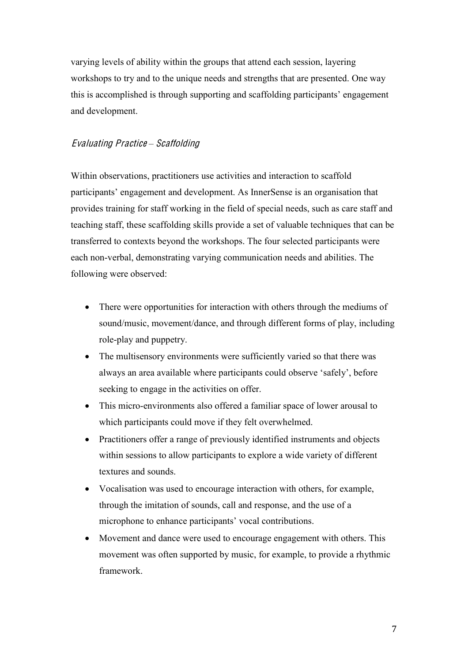varying levels of ability within the groups that attend each session, layering workshops to try and to the unique needs and strengths that are presented. One way this is accomplished is through supporting and scaffolding participants' engagement and development.

#### Evaluating Practice *±* Scaffolding

Within observations, practitioners use activities and interaction to scaffold participants' engagement and development. As InnerSense is an organisation that provides training for staff working in the field of special needs, such as care staff and teaching staff, these scaffolding skills provide a set of valuable techniques that can be transferred to contexts beyond the workshops. The four selected participants were each non-verbal, demonstrating varying communication needs and abilities. The following were observed:

- There were opportunities for interaction with others through the mediums of sound/music, movement/dance, and through different forms of play, including role-play and puppetry.
- The multisensory environments were sufficiently varied so that there was always an area available where participants could observe 'safely', before seeking to engage in the activities on offer.
- This micro-environments also offered a familiar space of lower arousal to which participants could move if they felt overwhelmed.
- Practitioners offer a range of previously identified instruments and objects within sessions to allow participants to explore a wide variety of different textures and sounds.
- Vocalisation was used to encourage interaction with others, for example, through the imitation of sounds, call and response, and the use of a microphone to enhance participants' vocal contributions.
- Movement and dance were used to encourage engagement with others. This movement was often supported by music, for example, to provide a rhythmic framework.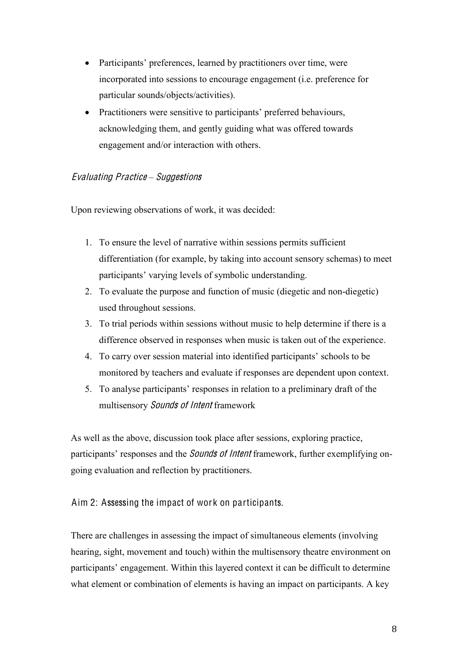- Participants' preferences, learned by practitioners over time, were incorporated into sessions to encourage engagement (i.e. preference for particular sounds/objects/activities).
- Practitioners were sensitive to participants' preferred behaviours, acknowledging them, and gently guiding what was offered towards engagement and/or interaction with others.

#### Evaluating Practice *±* Suggestion<sup>s</sup>

Upon reviewing observations of work, it was decided:

- 1. To ensure the level of narrative within sessions permits sufficient differentiation (for example, by taking into account sensory schemas) to meet participants' varying levels of symbolic understanding.
- 2. To evaluate the purpose and function of music (diegetic and non-diegetic) used throughout sessions.
- 3. To trial periods within sessions without music to help determine if there is a difference observed in responses when music is taken out of the experience.
- 4. To carry over session material into identified participants' schools to be monitored by teachers and evaluate if responses are dependent upon context.
- 5. To analyse participants' responses in relation to a preliminary draft of the multisensory Sound<sup>s</sup> <sup>o</sup>f Inten<sup>t</sup> framework

As well as the above, discussion took place after sessions, exploring practice, participants' responses and the *Sounds of Intent* framework, further exemplifying ongoing evaluation and reflection by practitioners.

#### Aim 2: Assessing the impact of work on participants.

There are challenges in assessing the impact of simultaneous elements (involving hearing, sight, movement and touch) within the multisensory theatre environment on participants' engagement. Within this layered context it can be difficult to determine what element or combination of elements is having an impact on participants. A key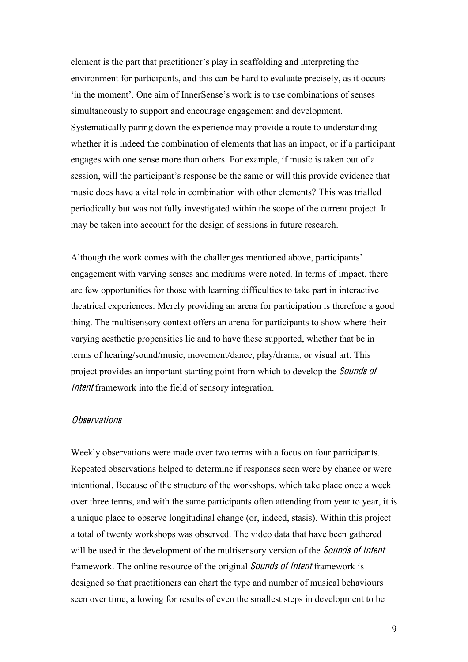element is the part that practitioner's play in scaffolding and interpreting the environment for participants, and this can be hard to evaluate precisely, as it occurs 'in the moment'. One aim of InnerSense's work is to use combinations of senses simultaneously to support and encourage engagement and development. Systematically paring down the experience may provide a route to understanding whether it is indeed the combination of elements that has an impact, or if a participant engages with one sense more than others. For example, if music is taken out of a session, will the participant's response be the same or will this provide evidence that music does have a vital role in combination with other elements? This was trialled periodically but was not fully investigated within the scope of the current project. It may be taken into account for the design of sessions in future research.

Although the work comes with the challenges mentioned above, participants' engagement with varying senses and mediums were noted. In terms of impact, there are few opportunities for those with learning difficulties to take part in interactive theatrical experiences. Merely providing an arena for participation is therefore a good thing. The multisensory context offers an arena for participants to show where their varying aesthetic propensities lie and to have these supported, whether that be in terms of hearing/sound/music, movement/dance, play/drama, or visual art. This project provides an important starting point from which to develop the *Sounds of* Intent framework into the field of sensory integration.

#### **Observations**

Weekly observations were made over two terms with a focus on four participants. Repeated observations helped to determine if responses seen were by chance or were intentional. Because of the structure of the workshops, which take place once a week over three terms, and with the same participants often attending from year to year, it is a unique place to observe longitudinal change (or, indeed, stasis). Within this project a total of twenty workshops was observed. The video data that have been gathered will be used in the development of the multisensory version of the *Sounds of Intent* framework. The online resource of the original *Sounds of Intent* framework is designed so that practitioners can chart the type and number of musical behaviours seen over time, allowing for results of even the smallest steps in development to be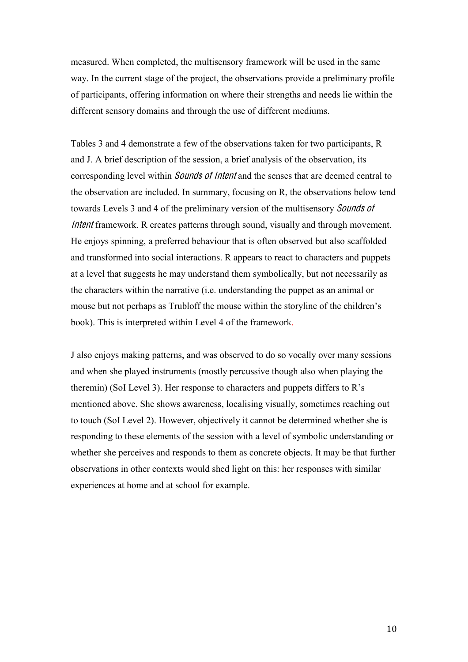measured. When completed, the multisensory framework will be used in the same way. In the current stage of the project, the observations provide a preliminary profile of participants, offering information on where their strengths and needs lie within the different sensory domains and through the use of different mediums.

Tables 3 and 4 demonstrate a few of the observations taken for two participants, R and J. A brief description of the session, a brief analysis of the observation, its corresponding level within *Sounds of Intent* and the senses that are deemed central to the observation are included. In summary, focusing on R, the observations below tend towards Levels 3 and 4 of the preliminary version of the multisensory Sound<sup>s</sup> <sup>o</sup>f Intent framework. R creates patterns through sound, visually and through movement. He enjoys spinning, a preferred behaviour that is often observed but also scaffolded and transformed into social interactions. R appears to react to characters and puppets at a level that suggests he may understand them symbolically, but not necessarily as the characters within the narrative (i.e. understanding the puppet as an animal or mouse but not perhaps as Trubloff the mouse within the storyline of the children's book). This is interpreted within Level 4 of the framework.

J also enjoys making patterns, and was observed to do so vocally over many sessions and when she played instruments (mostly percussive though also when playing the theremin) (SoI Level 3). Her response to characters and puppets differs to R's mentioned above. She shows awareness, localising visually, sometimes reaching out to touch (SoI Level 2). However, objectively it cannot be determined whether she is responding to these elements of the session with a level of symbolic understanding or whether she perceives and responds to them as concrete objects. It may be that further observations in other contexts would shed light on this: her responses with similar experiences at home and at school for example.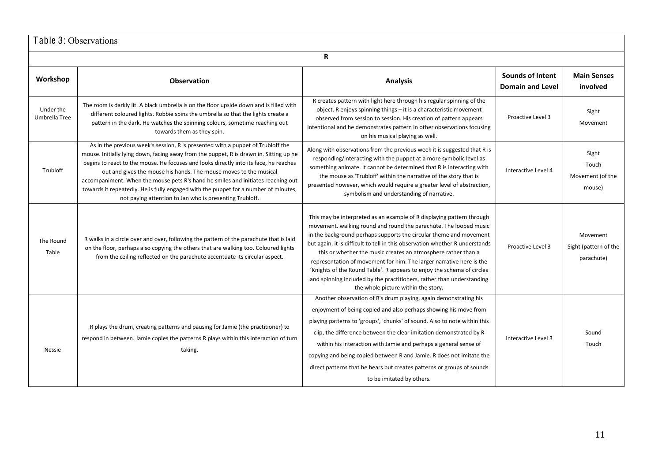| Table 3: Observations      |                                                                                                                                                                                                                                                                                                                                                                                                                                                                                                                                                                               |                                                                                                                                                                                                                                                                                                                                                                                                                                                                                                                                                                                                                                     |                                             |                                                 |  |  |  |
|----------------------------|-------------------------------------------------------------------------------------------------------------------------------------------------------------------------------------------------------------------------------------------------------------------------------------------------------------------------------------------------------------------------------------------------------------------------------------------------------------------------------------------------------------------------------------------------------------------------------|-------------------------------------------------------------------------------------------------------------------------------------------------------------------------------------------------------------------------------------------------------------------------------------------------------------------------------------------------------------------------------------------------------------------------------------------------------------------------------------------------------------------------------------------------------------------------------------------------------------------------------------|---------------------------------------------|-------------------------------------------------|--|--|--|
|                            | R                                                                                                                                                                                                                                                                                                                                                                                                                                                                                                                                                                             |                                                                                                                                                                                                                                                                                                                                                                                                                                                                                                                                                                                                                                     |                                             |                                                 |  |  |  |
| Workshop                   | <b>Analysis</b><br><b>Observation</b>                                                                                                                                                                                                                                                                                                                                                                                                                                                                                                                                         |                                                                                                                                                                                                                                                                                                                                                                                                                                                                                                                                                                                                                                     | Sounds of Intent<br><b>Domain and Level</b> | <b>Main Senses</b><br>involved                  |  |  |  |
| Under the<br>Umbrella Tree | The room is darkly lit. A black umbrella is on the floor upside down and is filled with<br>different coloured lights. Robbie spins the umbrella so that the lights create a<br>pattern in the dark. He watches the spinning colours, sometime reaching out<br>towards them as they spin.                                                                                                                                                                                                                                                                                      | R creates pattern with light here through his regular spinning of the<br>object. R enjoys spinning things - it is a characteristic movement<br>observed from session to session. His creation of pattern appears<br>intentional and he demonstrates pattern in other observations focusing<br>on his musical playing as well.                                                                                                                                                                                                                                                                                                       | Proactive Level 3                           | Sight<br>Movement                               |  |  |  |
| Trubloff                   | As in the previous week's session, R is presented with a puppet of Trubloff the<br>mouse. Initially lying down, facing away from the puppet, R is drawn in. Sitting up he<br>begins to react to the mouse. He focuses and looks directly into its face, he reaches<br>out and gives the mouse his hands. The mouse moves to the musical<br>accompaniment. When the mouse pets R's hand he smiles and initiates reaching out<br>towards it repeatedly. He is fully engaged with the puppet for a number of minutes,<br>not paying attention to Jan who is presenting Trubloff. | Along with observations from the previous week it is suggested that R is<br>responding/interacting with the puppet at a more symbolic level as<br>something animate. It cannot be determined that R is interacting with<br>the mouse as 'Trubloff' within the narrative of the story that is<br>presented however, which would require a greater level of abstraction,<br>symbolism and understanding of narrative.                                                                                                                                                                                                                 | Interactive Level 4                         | Sight<br>Touch<br>Movement (of the<br>mouse)    |  |  |  |
| The Round<br>Table         | R walks in a circle over and over, following the pattern of the parachute that is laid<br>on the floor, perhaps also copying the others that are walking too. Coloured lights<br>from the ceiling reflected on the parachute accentuate its circular aspect.                                                                                                                                                                                                                                                                                                                  | This may be interpreted as an example of R displaying pattern through<br>movement, walking round and round the parachute. The looped music<br>in the background perhaps supports the circular theme and movement<br>but again, it is difficult to tell in this observation whether R understands<br>this or whether the music creates an atmosphere rather than a<br>representation of movement for him. The larger narrative here is the<br>'Knights of the Round Table'. R appears to enjoy the schema of circles<br>and spinning included by the practitioners, rather than understanding<br>the whole picture within the story. | Proactive Level 3                           | Movement<br>Sight (pattern of the<br>parachute) |  |  |  |
| <b>Nessie</b>              | R plays the drum, creating patterns and pausing for Jamie (the practitioner) to<br>respond in between. Jamie copies the patterns R plays within this interaction of turn<br>taking.                                                                                                                                                                                                                                                                                                                                                                                           | Another observation of R's drum playing, again demonstrating his<br>enjoyment of being copied and also perhaps showing his move from<br>playing patterns to 'groups', 'chunks' of sound. Also to note within this<br>clip, the difference between the clear imitation demonstrated by R<br>within his interaction with Jamie and perhaps a general sense of<br>copying and being copied between R and Jamie. R does not imitate the<br>direct patterns that he hears but creates patterns or groups of sounds<br>to be imitated by others.                                                                                          | Interactive Level 3                         | Sound<br>Touch                                  |  |  |  |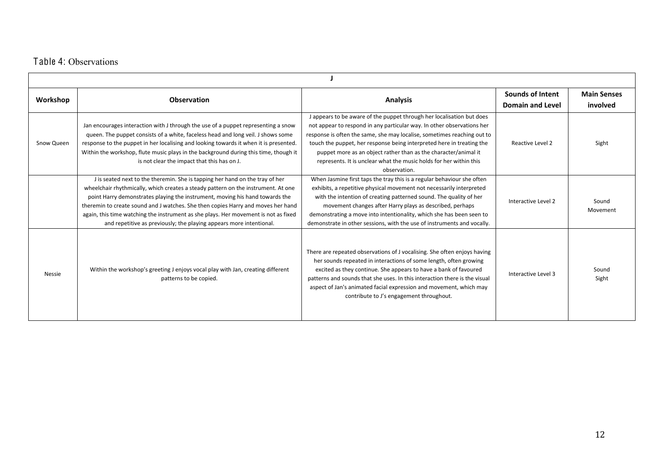### Table 4: Observations

| Workshop   | <b>Observation</b>                                                                                                                                                                                                                                                                                                                                                                                                                                                                                  | <b>Analysis</b>                                                                                                                                                                                                                                                                                                                                                                                                                                              | <b>Sounds of Intent</b><br>Domain and Level | <b>Main Senses</b><br>involved |  |  |  |
|------------|-----------------------------------------------------------------------------------------------------------------------------------------------------------------------------------------------------------------------------------------------------------------------------------------------------------------------------------------------------------------------------------------------------------------------------------------------------------------------------------------------------|--------------------------------------------------------------------------------------------------------------------------------------------------------------------------------------------------------------------------------------------------------------------------------------------------------------------------------------------------------------------------------------------------------------------------------------------------------------|---------------------------------------------|--------------------------------|--|--|--|
| Snow Queen | Jan encourages interaction with J through the use of a puppet representing a snow<br>queen. The puppet consists of a white, faceless head and long veil. J shows some<br>response to the puppet in her localising and looking towards it when it is presented.<br>Within the workshop, flute music plays in the background during this time, though it<br>is not clear the impact that this has on J.                                                                                               | J appears to be aware of the puppet through her localisation but does<br>not appear to respond in any particular way. In other observations her<br>response is often the same, she may localise, sometimes reaching out to<br>touch the puppet, her response being interpreted here in treating the<br>puppet more as an object rather than as the character/animal it<br>represents. It is unclear what the music holds for her within this<br>observation. | Reactive Level 2                            | Sight                          |  |  |  |
|            | J is seated next to the theremin. She is tapping her hand on the tray of her<br>wheelchair rhythmically, which creates a steady pattern on the instrument. At one<br>point Harry demonstrates playing the instrument, moving his hand towards the<br>theremin to create sound and J watches. She then copies Harry and moves her hand<br>again, this time watching the instrument as she plays. Her movement is not as fixed<br>and repetitive as previously; the playing appears more intentional. | When Jasmine first taps the tray this is a regular behaviour she often<br>exhibits, a repetitive physical movement not necessarily interpreted<br>with the intention of creating patterned sound. The quality of her<br>movement changes after Harry plays as described, perhaps<br>demonstrating a move into intentionality, which she has been seen to<br>demonstrate in other sessions, with the use of instruments and vocally.                          | Interactive Level 2                         | Sound<br>Movement              |  |  |  |
| Nessie     | Within the workshop's greeting J enjoys vocal play with Jan, creating different<br>patterns to be copied.                                                                                                                                                                                                                                                                                                                                                                                           | There are repeated observations of J vocalising. She often enjoys having<br>her sounds repeated in interactions of some length, often growing<br>excited as they continue. She appears to have a bank of favoured<br>patterns and sounds that she uses. In this interaction there is the visual<br>aspect of Jan's animated facial expression and movement, which may<br>contribute to J's engagement throughout.                                            | Interactive Level 3                         | Sound<br>Sight                 |  |  |  |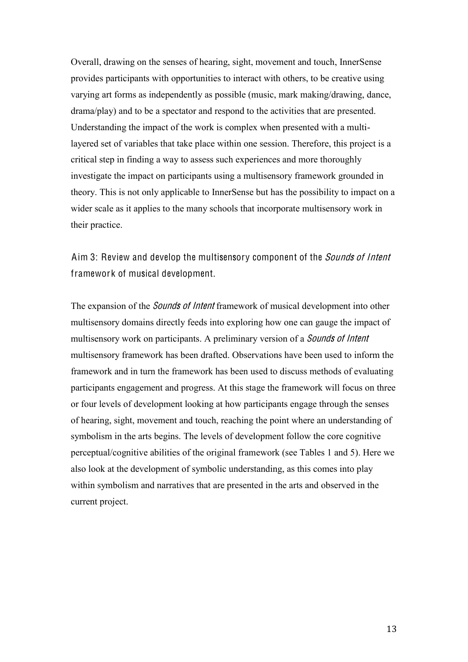Overall, drawing on the senses of hearing, sight, movement and touch, InnerSense provides participants with opportunities to interact with others, to be creative using varying art forms as independently as possible (music, mark making/drawing, dance, drama/play) and to be a spectator and respond to the activities that are presented. Understanding the impact of the work is complex when presented with a multilayered set of variables that take place within one session. Therefore, this project is a critical step in finding a way to assess such experiences and more thoroughly investigate the impact on participants using a multisensory framework grounded in theory. This is not only applicable to InnerSense but has the possibility to impact on a wider scale as it applies to the many schools that incorporate multisensory work in their practice.

# Aim 3: Review and develop the multisensory component of the *Sounds of Intent* framework of musical development.

The expansion of the *Sounds of Intent* framework of musical development into other multisensory domains directly feeds into exploring how one can gauge the impact of multisensory work on participants. A preliminary version of a *Sounds of Intent* multisensory framework has been drafted. Observations have been used to inform the framework and in turn the framework has been used to discuss methods of evaluating participants engagement and progress. At this stage the framework will focus on three or four levels of development looking at how participants engage through the senses of hearing, sight, movement and touch, reaching the point where an understanding of symbolism in the arts begins. The levels of development follow the core cognitive perceptual/cognitive abilities of the original framework (see Tables 1 and 5). Here we also look at the development of symbolic understanding, as this comes into play within symbolism and narratives that are presented in the arts and observed in the current project.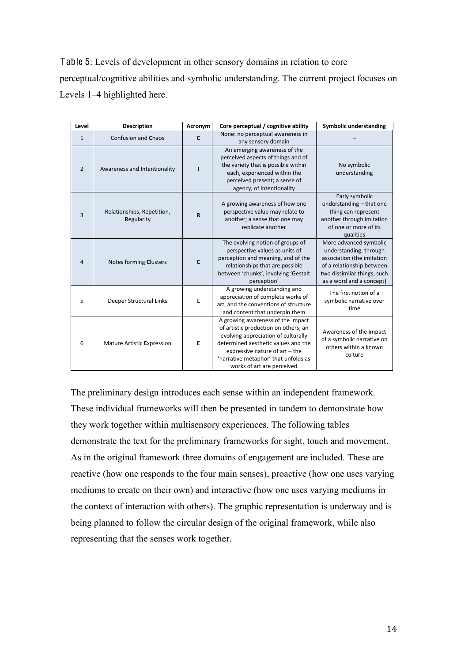Table 5: Levels of development in other sensory domains in relation to core perceptual/cognitive abilities and symbolic understanding. The current project focuses on Levels 1–4 highlighted here.

| Level          | <b>Description</b>                       | Acronym     | Core perceptual / cognitive ability                                                                                                                                                                                                                             | Symbolic understanding                                                                                                                                                 |
|----------------|------------------------------------------|-------------|-----------------------------------------------------------------------------------------------------------------------------------------------------------------------------------------------------------------------------------------------------------------|------------------------------------------------------------------------------------------------------------------------------------------------------------------------|
| $\mathbf{1}$   | Confusion and Chaos                      | C           | None: no perceptual awareness in<br>any sensory domain                                                                                                                                                                                                          |                                                                                                                                                                        |
| $\overline{2}$ | Awareness and Intentionality             |             | An emerging awareness of the<br>perceived aspects of things and of<br>the variety that is possible within<br>each, experienced within the<br>perceived present; a sense of<br>agency, of intentionality                                                         | No symbolic<br>understanding                                                                                                                                           |
| 3              | Relationships, Repetition,<br>Regularity | $\mathbf R$ | A growing awareness of how one<br>perspective value may relate to<br>another; a sense that one may<br>replicate another                                                                                                                                         | Early symbolic<br>understanding - that one<br>thing can represent<br>another through imitation<br>of one or more of its<br>qualities                                   |
| $\overline{A}$ | Notes forming Clusters                   | C           | The evolving notion of groups of<br>perspective values as units of<br>perception and meaning, and of the<br>relationships that are possible<br>between 'chunks', involving 'Gestalt<br>perception'                                                              | More advanced symbolic<br>understanding, through<br>association (the imitation<br>of a relationship between<br>two dissimilar things, such<br>as a word and a concept) |
| 5              | Deeper Structural Links                  | L           | A growing understanding and<br>appreciation of complete works of<br>art, and the conventions of structure<br>and content that underpin them                                                                                                                     | The first notion of a<br>symbolic narrative over<br>time                                                                                                               |
| 6              | Mature Artistic Expression               | E           | A growing awareness of the impact<br>of artistic production on others; an<br>evolving appreciation of culturally<br>determined aesthetic values and the<br>expressive nature of art - the<br>'narrative metaphor' that unfolds as<br>works of art are perceived | Awareness of the impact<br>of a symbolic narrative on<br>others within a known<br>culture                                                                              |

The preliminary design introduces each sense within an independent framework. These individual frameworks will then be presented in tandem to demonstrate how they work together within multisensory experiences. The following tables demonstrate the text for the preliminary frameworks for sight, touch and movement. As in the original framework three domains of engagement are included. These are reactive (how one responds to the four main senses), proactive (how one uses varying mediums to create on their own) and interactive (how one uses varying mediums in the context of interaction with others). The graphic representation is underway and is being planned to follow the circular design of the original framework, while also representing that the senses work together.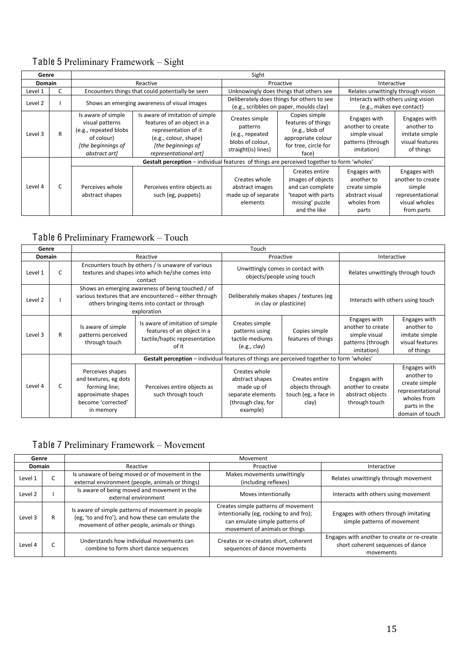# Table 5 Preliminary Framework  $-$  Sight

| Genre         |   | Sight                                                                                                               |                                                                                                                                                               |                                                                                                                                                                                                          |                                                                                                                  |                                                                                        |                                                                                                |  |
|---------------|---|---------------------------------------------------------------------------------------------------------------------|---------------------------------------------------------------------------------------------------------------------------------------------------------------|----------------------------------------------------------------------------------------------------------------------------------------------------------------------------------------------------------|------------------------------------------------------------------------------------------------------------------|----------------------------------------------------------------------------------------|------------------------------------------------------------------------------------------------|--|
| <b>Domain</b> |   | Reactive                                                                                                            |                                                                                                                                                               |                                                                                                                                                                                                          | Proactive                                                                                                        |                                                                                        | Interactive                                                                                    |  |
| Level 1       |   |                                                                                                                     | Encounters things that could potentially be seen                                                                                                              | Unknowingly does things that others see                                                                                                                                                                  |                                                                                                                  |                                                                                        | Relates unwittingly through vision                                                             |  |
| Level 2       |   | Shows an emerging awareness of visual images                                                                        |                                                                                                                                                               | Deliberately does things for others to see<br>(e.g., scribbles on paper, moulds clay)                                                                                                                    |                                                                                                                  | Interacts with others using vision<br>(e.g., makes eye contact)                        |                                                                                                |  |
| Level 3       | R | Is aware of simple<br>visual patterns<br>(e.g., repeated blobs<br>of colour)<br>[the beginnings of<br>abstract art] | Is aware of imitation of simple<br>features of an object in a<br>representation of it<br>(e.g., colour, shape)<br>[the beginnings of<br>representational art] | Copies simple<br>Creates simple<br>features of things<br>patterns<br>(e.g., blob of<br>(e.g., repeated<br>appropriate colour<br>blobs of colour,<br>for tree, circle for<br>straight(is) lines)<br>face) |                                                                                                                  | Engages with<br>another to create<br>simple visual<br>patterns (through<br>imitation)  | Engages with<br>another to<br>imitate simple<br>visual features<br>of things                   |  |
|               |   |                                                                                                                     | Gestalt perception – individual features of things are perceived together to form 'wholes'                                                                    |                                                                                                                                                                                                          |                                                                                                                  |                                                                                        |                                                                                                |  |
| Level 4       | C | Perceives whole<br>abstract shapes                                                                                  | Perceives entire objects as<br>such (eg, puppets)                                                                                                             | Creates whole<br>abstract images<br>made up of separate<br>elements                                                                                                                                      | Creates entire<br>images of objects<br>and can complete<br>'teapot with parts<br>missing' puzzle<br>and the like | Engages with<br>another to<br>create simple<br>abstract visual<br>wholes from<br>parts | Engages with<br>another to create<br>simple<br>representational<br>visual wholes<br>from parts |  |

## Table 6 Preliminary Framework - Touch

| Genre         |   |                                                                                                                                                                             |                                                                                                         | Touch                                                                                                 |                                                                    |                                                                                       |                                                                                                                   |
|---------------|---|-----------------------------------------------------------------------------------------------------------------------------------------------------------------------------|---------------------------------------------------------------------------------------------------------|-------------------------------------------------------------------------------------------------------|--------------------------------------------------------------------|---------------------------------------------------------------------------------------|-------------------------------------------------------------------------------------------------------------------|
| <b>Domain</b> |   |                                                                                                                                                                             | Reactive                                                                                                | Proactive                                                                                             |                                                                    | Interactive                                                                           |                                                                                                                   |
| Level 1       | C | Encounters touch by others / is unaware of various<br>textures and shapes into which he/she comes into<br>contact                                                           |                                                                                                         | Unwittingly comes in contact with<br>objects/people using touch                                       |                                                                    | Relates unwittingly through touch                                                     |                                                                                                                   |
| Level 2       |   | Shows an emerging awareness of being touched / of<br>various textures that are encountered - either through<br>others bringing items into contact or through<br>exploration |                                                                                                         | Deliberately makes shapes / textures (eg<br>in clay or plasticine)                                    |                                                                    | Interacts with others using touch                                                     |                                                                                                                   |
| Level 3       | R | Is aware of simple<br>patterns perceived<br>through touch                                                                                                                   | Is aware of imitation of simple<br>features of an object in a<br>tactile/haptic representation<br>of it | Creates simple<br>patterns using<br>tactile mediums<br>(e.g., clay)                                   | Copies simple<br>features of things                                | Engages with<br>another to create<br>simple visual<br>patterns (through<br>imitation) | Engages with<br>another to<br>imitate simple<br>visual features<br>of things                                      |
|               |   |                                                                                                                                                                             | Gestalt perception - individual features of things are perceived together to form 'wholes'              |                                                                                                       |                                                                    |                                                                                       |                                                                                                                   |
| Level 4       | C | Perceives shapes<br>and textures, eg dots<br>forming line;<br>approximate shapes<br>become 'corrected'<br>in memory                                                         | Perceives entire objects as<br>such through touch                                                       | Creates whole<br>abstract shapes<br>made up of<br>separate elements<br>(through clay, for<br>example) | Creates entire<br>objects through<br>touch (eg, a face in<br>clay) | Engages with<br>another to create<br>abstract objects<br>through touch                | Engages with<br>another to<br>create simple<br>representational<br>wholes from<br>parts in the<br>domain of touch |

# Table 7 Preliminary Framework - Movement

| Genre         |   | Movement                                                                                                                                              |                                                                                                                                                   |                                                                                               |  |  |  |
|---------------|---|-------------------------------------------------------------------------------------------------------------------------------------------------------|---------------------------------------------------------------------------------------------------------------------------------------------------|-----------------------------------------------------------------------------------------------|--|--|--|
| <b>Domain</b> |   | Reactive                                                                                                                                              | Proactive                                                                                                                                         | Interactive                                                                                   |  |  |  |
| Level 1       |   | Is unaware of being moved or of movement in the<br>external environment (people, animals or things)                                                   | Makes movements unwittingly<br>(including reflexes)                                                                                               | Relates unwittingly through movement                                                          |  |  |  |
| Level 2       |   | Is aware of being moved and movement in the<br>external environment                                                                                   | Moves intentionally                                                                                                                               | Interacts with others using movement                                                          |  |  |  |
| Level 3       | R | Is aware of simple patterns of movement in people<br>(eg, 'to and fro'), and how these can emulate the<br>movement of other people, animals or things | Creates simple patterns of movement<br>intentionally (eg, rocking to and fro);<br>can emulate simple patterns of<br>movement of animals or things | Engages with others through imitating<br>simple patterns of movement                          |  |  |  |
| Level 4       |   | Understands how individual movements can<br>combine to form short dance sequences                                                                     | Creates or re-creates short, coherent<br>sequences of dance movements                                                                             | Engages with another to create or re-create<br>short coherent sequences of dance<br>movements |  |  |  |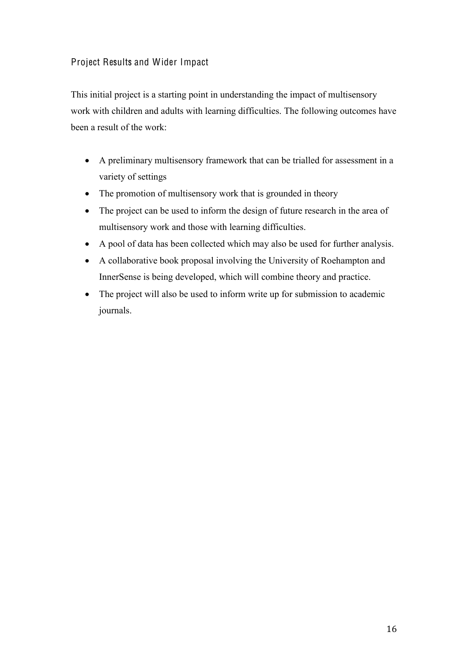#### Project Results and Wider Impact

This initial project is a starting point in understanding the impact of multisensory work with children and adults with learning difficulties. The following outcomes have been a result of the work:

- A preliminary multisensory framework that can be trialled for assessment in a variety of settings
- The promotion of multisensory work that is grounded in theory
- The project can be used to inform the design of future research in the area of multisensory work and those with learning difficulties.
- A pool of data has been collected which may also be used for further analysis.
- A collaborative book proposal involving the University of Roehampton and InnerSense is being developed, which will combine theory and practice.
- The project will also be used to inform write up for submission to academic journals.